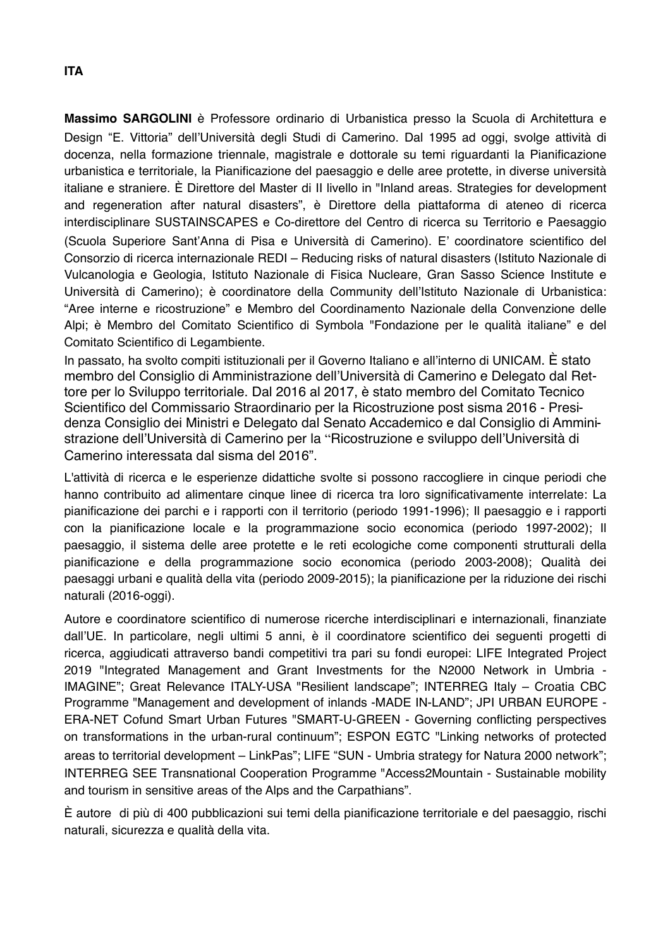**Massimo SARGOLINI** è Professore ordinario di Urbanistica presso la Scuola di Architettura e Design !E. Vittoria" dell'Università degli Studi di Camerino. Dal 1995 ad oggi, svolge attività di docenza, nella formazione triennale, magistrale e dottorale su temi riguardanti la Pianificazione urbanistica e territoriale, la Pianificazione del paesaggio e delle aree protette, in diverse università italiane e straniere. È Direttore del Master di II livello in "Inland areas. Strategies for development and regeneration after natural disasters", è Direttore della piattaforma di ateneo di ricerca interdisciplinare SUSTAINSCAPES e Co-direttore del Centro di ricerca su Territorio e Paesaggio (Scuola Superiore Sant"Anna di Pisa e Università di Camerino). E' coordinatore scientifico del Consorzio di ricerca internazionale REDI – Reducing risks of natural disasters (Istituto Nazionale di Vulcanologia e Geologia, Istituto Nazionale di Fisica Nucleare, Gran Sasso Science Institute e Università di Camerino); è coordinatore della Community dell'Istituto Nazionale di Urbanistica: "Aree interne e ricostruzione" e Membro del Coordinamento Nazionale della Convenzione delle Alpi; è Membro del Comitato Scientifico di Symbola "Fondazione per le qualità italiane" e del Comitato Scientifico di Legambiente.

In passato, ha svolto compiti istituzionali per il Governo Italiano e all'interno di UNICAM. È stato membro del Consiglio di Amministrazione dell'Università di Camerino e Delegato dal Rettore per lo Sviluppo territoriale. Dal 2016 al 2017, è stato membro del Comitato Tecnico Scientifico del Commissario Straordinario per la Ricostruzione post sisma 2016 - Presidenza Consiglio dei Ministri e Delegato dal Senato Accademico e dal Consiglio di Amministrazione dell'Università di Camerino per la "Ricostruzione e sviluppo dell'Università di Camerino interessata dal sisma del 2016".

L'attività di ricerca e le esperienze didattiche svolte si possono raccogliere in cinque periodi che hanno contribuito ad alimentare cinque linee di ricerca tra loro significativamente interrelate: La pianificazione dei parchi e i rapporti con il territorio (periodo 1991-1996); Il paesaggio e i rapporti con la pianificazione locale e la programmazione socio economica (periodo 1997-2002); Il paesaggio, il sistema delle aree protette e le reti ecologiche come componenti strutturali della pianificazione e della programmazione socio economica (periodo 2003-2008); Qualità dei paesaggi urbani e qualità della vita (periodo 2009-2015); la pianificazione per la riduzione dei rischi naturali (2016-oggi).

Autore e coordinatore scientifico di numerose ricerche interdisciplinari e internazionali, finanziate dall'UE. In particolare, negli ultimi 5 anni, è il coordinatore scientifico dei seguenti progetti di ricerca, aggiudicati attraverso bandi competitivi tra pari su fondi europei: LIFE Integrated Project 2019 "Integrated Management and Grant Investments for the N2000 Network in Umbria - IMAGINE"; Great Relevance ITALY-USA "Resilient landscape"; INTERREG Italy – Croatia CBC Programme "Management and development of inlands -MADE IN-LAND"; JPI URBAN EUROPE - ERA-NET Cofund Smart Urban Futures "SMART-U-GREEN - Governing conflicting perspectives on transformations in the urban-rural continuum"; ESPON EGTC "Linking networks of protected areas to territorial development – LinkPas"; LIFE "SUN - Umbria strategy for Natura 2000 network"; INTERREG SEE Transnational Cooperation Programme "Access2Mountain - Sustainable mobility and tourism in sensitive areas of the Alps and the Carpathians".

È autore di più di 400 pubblicazioni sui temi della pianificazione territoriale e del paesaggio, rischi naturali, sicurezza e qualità della vita.